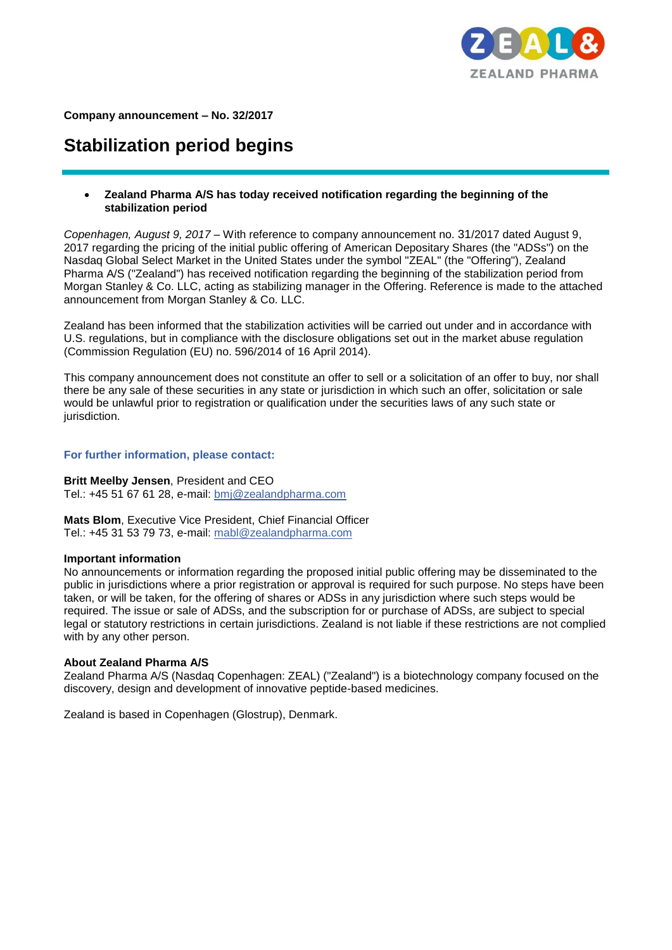

**Company announcement – No. 32/2017** 

# **Stabilization period begins**

## **Zealand Pharma A/S has today received notification regarding the beginning of the stabilization period**

*Copenhagen, August 9, 2017 –* With reference to company announcement no. 31/2017 dated August 9, 2017 regarding the pricing of the initial public offering of American Depositary Shares (the "ADSs") on the Nasdaq Global Select Market in the United States under the symbol "ZEAL" (the "Offering"), Zealand Pharma A/S ("Zealand") has received notification regarding the beginning of the stabilization period from Morgan Stanley & Co. LLC, acting as stabilizing manager in the Offering. Reference is made to the attached announcement from Morgan Stanley & Co. LLC.

Zealand has been informed that the stabilization activities will be carried out under and in accordance with U.S. regulations, but in compliance with the disclosure obligations set out in the market abuse regulation (Commission Regulation (EU) no. 596/2014 of 16 April 2014).

This company announcement does not constitute an offer to sell or a solicitation of an offer to buy, nor shall there be any sale of these securities in any state or jurisdiction in which such an offer, solicitation or sale would be unlawful prior to registration or qualification under the securities laws of any such state or jurisdiction.

# **For further information, please contact:**

#### **Britt Meelby Jensen**, President and CEO

Tel.: +45 51 67 61 28, e-mail: bmj@zealandpharma.com

**Mats Blom**, Executive Vice President, Chief Financial Officer Tel.: +45 31 53 79 73, e-mail: mabl@zealandpharma.com

#### **Important information**

No announcements or information regarding the proposed initial public offering may be disseminated to the public in jurisdictions where a prior registration or approval is required for such purpose. No steps have been taken, or will be taken, for the offering of shares or ADSs in any jurisdiction where such steps would be required. The issue or sale of ADSs, and the subscription for or purchase of ADSs, are subject to special legal or statutory restrictions in certain jurisdictions. Zealand is not liable if these restrictions are not complied with by any other person.

## **About Zealand Pharma A/S**

Zealand Pharma A/S (Nasdaq Copenhagen: ZEAL) ("Zealand") is a biotechnology company focused on the discovery, design and development of innovative peptide-based medicines.

Zealand is based in Copenhagen (Glostrup), Denmark.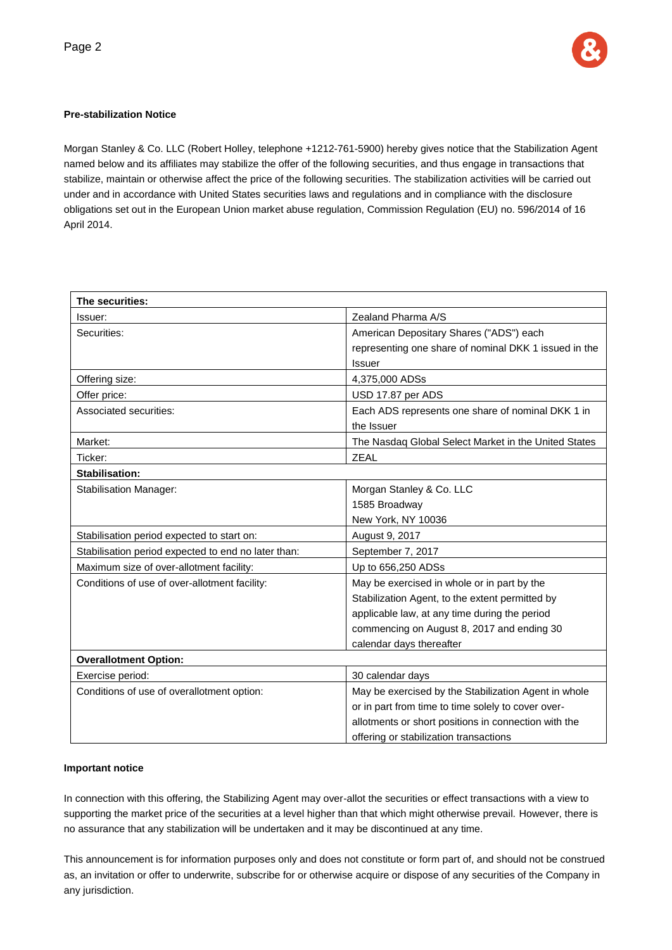

# **Pre-stabilization Notice**

Morgan Stanley & Co. LLC (Robert Holley, telephone +1212-761-5900) hereby gives notice that the Stabilization Agent named below and its affiliates may stabilize the offer of the following securities, and thus engage in transactions that stabilize, maintain or otherwise affect the price of the following securities. The stabilization activities will be carried out under and in accordance with United States securities laws and regulations and in compliance with the disclosure obligations set out in the European Union market abuse regulation, Commission Regulation (EU) no. 596/2014 of 16 April 2014.

| The securities:                                     |                                                       |
|-----------------------------------------------------|-------------------------------------------------------|
| Issuer:                                             | Zealand Pharma A/S                                    |
| Securities:                                         | American Depositary Shares ("ADS") each               |
|                                                     | representing one share of nominal DKK 1 issued in the |
|                                                     | <b>Issuer</b>                                         |
| Offering size:                                      | 4,375,000 ADSs                                        |
| Offer price:                                        | USD 17.87 per ADS                                     |
| Associated securities:                              | Each ADS represents one share of nominal DKK 1 in     |
|                                                     | the Issuer                                            |
| Market:                                             | The Nasdaq Global Select Market in the United States  |
| Ticker:                                             | <b>ZEAL</b>                                           |
| Stabilisation:                                      |                                                       |
| <b>Stabilisation Manager:</b>                       | Morgan Stanley & Co. LLC                              |
|                                                     | 1585 Broadway                                         |
|                                                     | New York, NY 10036                                    |
| Stabilisation period expected to start on:          | August 9, 2017                                        |
| Stabilisation period expected to end no later than: | September 7, 2017                                     |
| Maximum size of over-allotment facility:            | Up to 656,250 ADSs                                    |
| Conditions of use of over-allotment facility:       | May be exercised in whole or in part by the           |
|                                                     | Stabilization Agent, to the extent permitted by       |
|                                                     | applicable law, at any time during the period         |
|                                                     | commencing on August 8, 2017 and ending 30            |
|                                                     | calendar days thereafter                              |
| <b>Overallotment Option:</b>                        |                                                       |
| Exercise period:                                    | 30 calendar days                                      |
| Conditions of use of overallotment option:          | May be exercised by the Stabilization Agent in whole  |
|                                                     | or in part from time to time solely to cover over-    |
|                                                     | allotments or short positions in connection with the  |
|                                                     | offering or stabilization transactions                |

#### **Important notice**

In connection with this offering, the Stabilizing Agent may over-allot the securities or effect transactions with a view to supporting the market price of the securities at a level higher than that which might otherwise prevail. However, there is no assurance that any stabilization will be undertaken and it may be discontinued at any time.

This announcement is for information purposes only and does not constitute or form part of, and should not be construed as, an invitation or offer to underwrite, subscribe for or otherwise acquire or dispose of any securities of the Company in any jurisdiction.